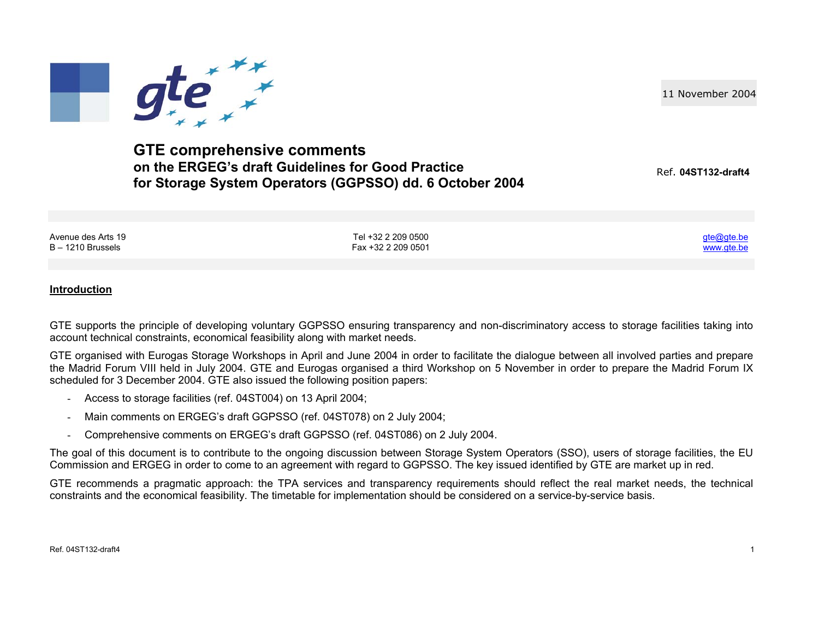11 November 2004



**GTE comprehensive comments on the ERGEG's draft Guidelines for Good Practice for Storage System Operators (GGPSSO) dd. 6 October 2004**

Ref. **04ST132-draft4**

<u>gte@gte.be</u> www.gte.be

Avenue des Arts 19 B – 1210 Brussels

Tel +32 2 209 0500 Fax +32 2 209 0501

**Introduction**

GTE supports the principle of developing voluntary GGPSSO ensuring transparency and non-discriminatory access to storage facilities taking into account technical constraints, economical feasibility along with market needs.

GTE organised with Eurogas Storage Workshops in April and June 2004 in order to facilitate the dialogue between all involved parties and prepare the Madrid Forum VIII held in July 2004. GTE and Eurogas organised a third Workshop on 5 November in order to prepare the Madrid Forum IX scheduled for 3 December 2004. GTE also issued the following position papers:

- Access to storage facilities (ref. 04ST004) on 13 April 2004;
- Main comments on ERGEG's draft GGPSSO (ref. 04ST078) on 2 July 2004;
- Comprehensive comments on ERGEG's draft GGPSSO (ref. 04ST086) on 2 July 2004.

The goal of this document is to contribute to the ongoing discussion between Storage System Operators (SSO), users of storage facilities, the EU Commission and ERGEG in order to come to an agreement with regard to GGPSSO. The key issued identified by GTE are market up in red.

GTE recommends a pragmatic approach: the TPA services and transparency requirements should reflect the real market needs, the technical constraints and the economical feasibility. The timetable for implementation should be considered on a service-by-service basis.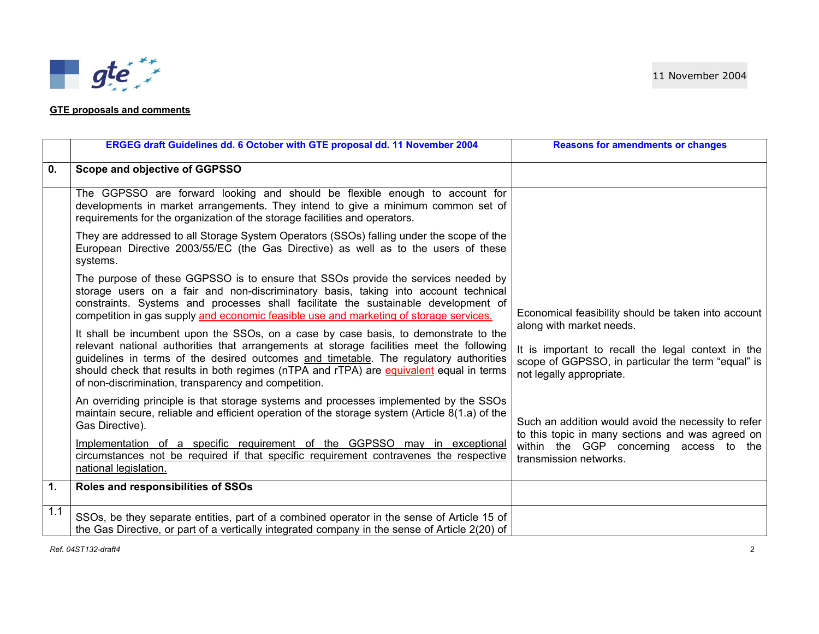## **GTE proposals and comments**

|                | ERGEG draft Guidelines dd. 6 October with GTE proposal dd. 11 November 2004                                                                                                                                                                                                                                                                                                                                                 | <b>Reasons for amendments or changes</b>                                                                                                                         |
|----------------|-----------------------------------------------------------------------------------------------------------------------------------------------------------------------------------------------------------------------------------------------------------------------------------------------------------------------------------------------------------------------------------------------------------------------------|------------------------------------------------------------------------------------------------------------------------------------------------------------------|
| $\mathbf{0}$ . | Scope and objective of GGPSSO                                                                                                                                                                                                                                                                                                                                                                                               |                                                                                                                                                                  |
|                | The GGPSSO are forward looking and should be flexible enough to account for<br>developments in market arrangements. They intend to give a minimum common set of<br>requirements for the organization of the storage facilities and operators.                                                                                                                                                                               |                                                                                                                                                                  |
|                | They are addressed to all Storage System Operators (SSOs) falling under the scope of the<br>European Directive 2003/55/EC (the Gas Directive) as well as to the users of these<br>systems.                                                                                                                                                                                                                                  |                                                                                                                                                                  |
|                | The purpose of these GGPSSO is to ensure that SSOs provide the services needed by<br>storage users on a fair and non-discriminatory basis, taking into account technical<br>constraints. Systems and processes shall facilitate the sustainable development of<br>competition in gas supply and economic feasible use and marketing of storage services.                                                                    | Economical feasibility should be taken into account                                                                                                              |
|                | It shall be incumbent upon the SSOs, on a case by case basis, to demonstrate to the<br>relevant national authorities that arrangements at storage facilities meet the following<br>guidelines in terms of the desired outcomes and timetable. The regulatory authorities<br>should check that results in both regimes (nTPA and rTPA) are equivalent equal in terms<br>of non-discrimination, transparency and competition. | along with market needs.<br>It is important to recall the legal context in the<br>scope of GGPSSO, in particular the term "equal" is<br>not legally appropriate. |
|                | An overriding principle is that storage systems and processes implemented by the SSOs<br>maintain secure, reliable and efficient operation of the storage system (Article 8(1.a) of the<br>Gas Directive).                                                                                                                                                                                                                  | Such an addition would avoid the necessity to refer<br>to this topic in many sections and was agreed on                                                          |
|                | Implementation of a specific requirement of the GGPSSO may in exceptional<br>circumstances not be required if that specific requirement contravenes the respective<br>national legislation.                                                                                                                                                                                                                                 | within the GGP concerning access to the<br>transmission networks.                                                                                                |
| $\mathbf{1}$ . | Roles and responsibilities of SSOs                                                                                                                                                                                                                                                                                                                                                                                          |                                                                                                                                                                  |
| 1.1            | SSOs, be they separate entities, part of a combined operator in the sense of Article 15 of<br>the Gas Directive, or part of a vertically integrated company in the sense of Article 2(20) of                                                                                                                                                                                                                                |                                                                                                                                                                  |

*Ref. 04ST132-draft4* 2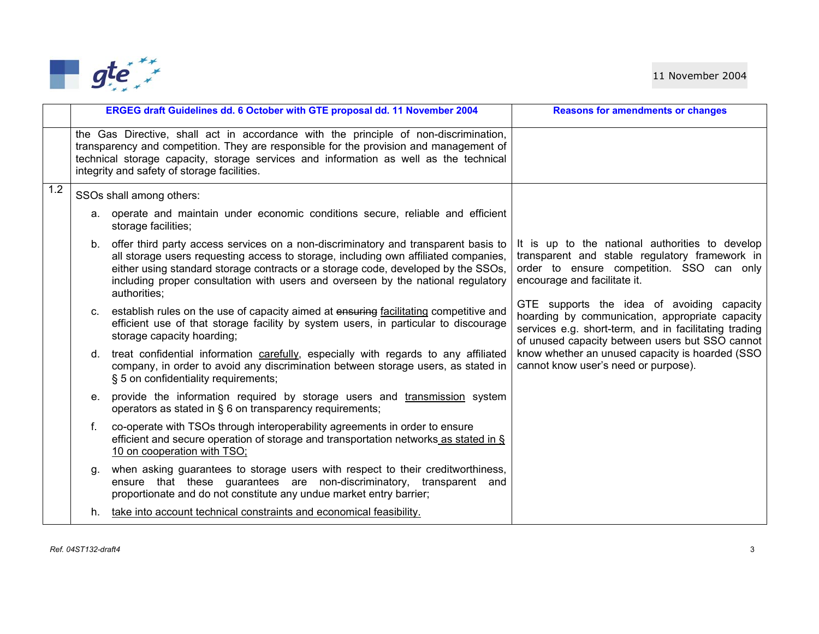

|     |    | ERGEG draft Guidelines dd. 6 October with GTE proposal dd. 11 November 2004                                                                                                                                                                                                                                                                                           | <b>Reasons for amendments or changes</b>                                                                                                                                                                  |
|-----|----|-----------------------------------------------------------------------------------------------------------------------------------------------------------------------------------------------------------------------------------------------------------------------------------------------------------------------------------------------------------------------|-----------------------------------------------------------------------------------------------------------------------------------------------------------------------------------------------------------|
|     |    | the Gas Directive, shall act in accordance with the principle of non-discrimination,<br>transparency and competition. They are responsible for the provision and management of<br>technical storage capacity, storage services and information as well as the technical<br>integrity and safety of storage facilities.                                                |                                                                                                                                                                                                           |
| 1.2 |    | SSOs shall among others:                                                                                                                                                                                                                                                                                                                                              |                                                                                                                                                                                                           |
|     |    | a. operate and maintain under economic conditions secure, reliable and efficient<br>storage facilities;                                                                                                                                                                                                                                                               |                                                                                                                                                                                                           |
|     |    | b. offer third party access services on a non-discriminatory and transparent basis to<br>all storage users requesting access to storage, including own affiliated companies,<br>either using standard storage contracts or a storage code, developed by the SSOs,<br>including proper consultation with users and overseen by the national regulatory<br>authorities: | It is up to the national authorities to develop<br>transparent and stable regulatory framework in<br>order to ensure competition. SSO can only<br>encourage and facilitate it.                            |
|     |    | c. establish rules on the use of capacity aimed at ensuring facilitating competitive and<br>efficient use of that storage facility by system users, in particular to discourage<br>storage capacity hoarding;                                                                                                                                                         | GTE supports the idea of avoiding capacity<br>hoarding by communication, appropriate capacity<br>services e.g. short-term, and in facilitating trading<br>of unused capacity between users but SSO cannot |
|     | d. | treat confidential information carefully, especially with regards to any affiliated<br>company, in order to avoid any discrimination between storage users, as stated in<br>§ 5 on confidentiality requirements;                                                                                                                                                      | know whether an unused capacity is hoarded (SSO<br>cannot know user's need or purpose).                                                                                                                   |
|     |    | e. provide the information required by storage users and transmission system<br>operators as stated in § 6 on transparency requirements;                                                                                                                                                                                                                              |                                                                                                                                                                                                           |
|     | f. | co-operate with TSOs through interoperability agreements in order to ensure<br>efficient and secure operation of storage and transportation networks as stated in §<br>10 on cooperation with TSO;                                                                                                                                                                    |                                                                                                                                                                                                           |
|     | g. | when asking guarantees to storage users with respect to their creditworthiness,<br>ensure that these guarantees are non-discriminatory, transparent and<br>proportionate and do not constitute any undue market entry barrier;                                                                                                                                        |                                                                                                                                                                                                           |
|     |    | h. take into account technical constraints and economical feasibility.                                                                                                                                                                                                                                                                                                |                                                                                                                                                                                                           |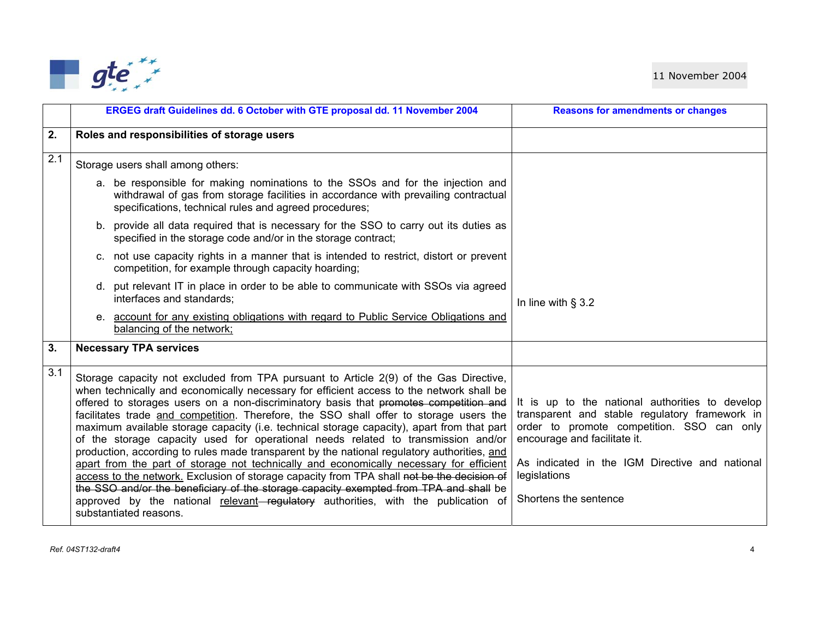

|     | ERGEG draft Guidelines dd. 6 October with GTE proposal dd. 11 November 2004                                                                                                                                                                                                                                                                                                                                                                                                                                                                                                                                                                                                                                                                                                                                                                                                                                                                                                                                                                             | <b>Reasons for amendments or changes</b>                                                                                                                                                                                                                                   |
|-----|---------------------------------------------------------------------------------------------------------------------------------------------------------------------------------------------------------------------------------------------------------------------------------------------------------------------------------------------------------------------------------------------------------------------------------------------------------------------------------------------------------------------------------------------------------------------------------------------------------------------------------------------------------------------------------------------------------------------------------------------------------------------------------------------------------------------------------------------------------------------------------------------------------------------------------------------------------------------------------------------------------------------------------------------------------|----------------------------------------------------------------------------------------------------------------------------------------------------------------------------------------------------------------------------------------------------------------------------|
| 2.  | Roles and responsibilities of storage users                                                                                                                                                                                                                                                                                                                                                                                                                                                                                                                                                                                                                                                                                                                                                                                                                                                                                                                                                                                                             |                                                                                                                                                                                                                                                                            |
| 2.1 | Storage users shall among others:                                                                                                                                                                                                                                                                                                                                                                                                                                                                                                                                                                                                                                                                                                                                                                                                                                                                                                                                                                                                                       |                                                                                                                                                                                                                                                                            |
|     | a. be responsible for making nominations to the SSOs and for the injection and<br>withdrawal of gas from storage facilities in accordance with prevailing contractual<br>specifications, technical rules and agreed procedures;                                                                                                                                                                                                                                                                                                                                                                                                                                                                                                                                                                                                                                                                                                                                                                                                                         |                                                                                                                                                                                                                                                                            |
|     | b. provide all data required that is necessary for the SSO to carry out its duties as<br>specified in the storage code and/or in the storage contract;                                                                                                                                                                                                                                                                                                                                                                                                                                                                                                                                                                                                                                                                                                                                                                                                                                                                                                  |                                                                                                                                                                                                                                                                            |
|     | c. not use capacity rights in a manner that is intended to restrict, distort or prevent<br>competition, for example through capacity hoarding;                                                                                                                                                                                                                                                                                                                                                                                                                                                                                                                                                                                                                                                                                                                                                                                                                                                                                                          |                                                                                                                                                                                                                                                                            |
|     | d. put relevant IT in place in order to be able to communicate with SSOs via agreed<br>interfaces and standards;                                                                                                                                                                                                                                                                                                                                                                                                                                                                                                                                                                                                                                                                                                                                                                                                                                                                                                                                        | In line with $\S$ 3.2                                                                                                                                                                                                                                                      |
|     | e. account for any existing obligations with regard to Public Service Obligations and<br>balancing of the network;                                                                                                                                                                                                                                                                                                                                                                                                                                                                                                                                                                                                                                                                                                                                                                                                                                                                                                                                      |                                                                                                                                                                                                                                                                            |
| 3.  | <b>Necessary TPA services</b>                                                                                                                                                                                                                                                                                                                                                                                                                                                                                                                                                                                                                                                                                                                                                                                                                                                                                                                                                                                                                           |                                                                                                                                                                                                                                                                            |
| 3.1 | Storage capacity not excluded from TPA pursuant to Article 2(9) of the Gas Directive,<br>when technically and economically necessary for efficient access to the network shall be<br>offered to storages users on a non-discriminatory basis that promotes competition and<br>facilitates trade and competition. Therefore, the SSO shall offer to storage users the<br>maximum available storage capacity (i.e. technical storage capacity), apart from that part<br>of the storage capacity used for operational needs related to transmission and/or<br>production, according to rules made transparent by the national regulatory authorities, and<br>apart from the part of storage not technically and economically necessary for efficient<br>access to the network. Exclusion of storage capacity from TPA shall not be the decision of<br>the SSO and/or the beneficiary of the storage capacity exempted from TPA and shall be<br>approved by the national relevant–regulatory authorities, with the publication of<br>substantiated reasons. | It is up to the national authorities to develop<br>transparent and stable regulatory framework in<br>order to promote competition. SSO can only<br>encourage and facilitate it.<br>As indicated in the IGM Directive and national<br>legislations<br>Shortens the sentence |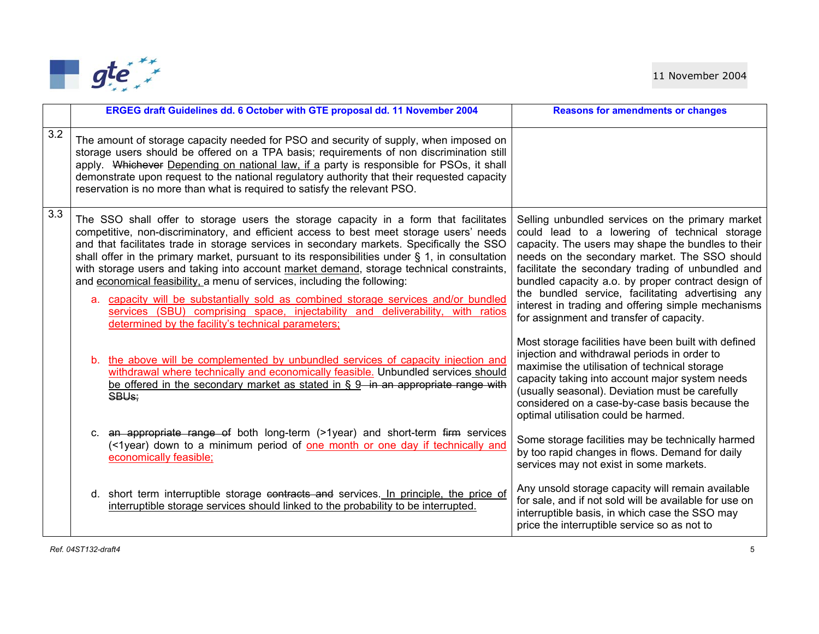

|     | ERGEG draft Guidelines dd. 6 October with GTE proposal dd. 11 November 2004                                                                                                                                                                                                                                                                                                                                                                                                                                                                                                                                                                                                                                                                                                             | <b>Reasons for amendments or changes</b>                                                                                                                                                                                                                                                                                                                                                                                                                                   |
|-----|-----------------------------------------------------------------------------------------------------------------------------------------------------------------------------------------------------------------------------------------------------------------------------------------------------------------------------------------------------------------------------------------------------------------------------------------------------------------------------------------------------------------------------------------------------------------------------------------------------------------------------------------------------------------------------------------------------------------------------------------------------------------------------------------|----------------------------------------------------------------------------------------------------------------------------------------------------------------------------------------------------------------------------------------------------------------------------------------------------------------------------------------------------------------------------------------------------------------------------------------------------------------------------|
| 3.2 | The amount of storage capacity needed for PSO and security of supply, when imposed on<br>storage users should be offered on a TPA basis; requirements of non discrimination still<br>apply. Whichever Depending on national law, if a party is responsible for PSOs, it shall<br>demonstrate upon request to the national regulatory authority that their requested capacity<br>reservation is no more than what is required to satisfy the relevant PSO.                                                                                                                                                                                                                                                                                                                               |                                                                                                                                                                                                                                                                                                                                                                                                                                                                            |
| 3.3 | The SSO shall offer to storage users the storage capacity in a form that facilitates<br>competitive, non-discriminatory, and efficient access to best meet storage users' needs<br>and that facilitates trade in storage services in secondary markets. Specifically the SSO<br>shall offer in the primary market, pursuant to its responsibilities under $\S$ 1, in consultation<br>with storage users and taking into account market demand, storage technical constraints,<br>and economical feasibility, a menu of services, including the following:<br>a. capacity will be substantially sold as combined storage services and/or bundled<br>services (SBU) comprising space, injectability and deliverability, with ratios<br>determined by the facility's technical parameters; | Selling unbundled services on the primary market<br>could lead to a lowering of technical storage<br>capacity. The users may shape the bundles to their<br>needs on the secondary market. The SSO should<br>facilitate the secondary trading of unbundled and<br>bundled capacity a.o. by proper contract design of<br>the bundled service, facilitating advertising any<br>interest in trading and offering simple mechanisms<br>for assignment and transfer of capacity. |
|     | b. the above will be complemented by unbundled services of capacity injection and<br>withdrawal where technically and economically feasible. Unbundled services should<br>be offered in the secondary market as stated in § 9 in an appropriate range with<br>SBU <sub>s</sub> ;                                                                                                                                                                                                                                                                                                                                                                                                                                                                                                        | Most storage facilities have been built with defined<br>injection and withdrawal periods in order to<br>maximise the utilisation of technical storage<br>capacity taking into account major system needs<br>(usually seasonal). Deviation must be carefully<br>considered on a case-by-case basis because the<br>optimal utilisation could be harmed.                                                                                                                      |
|     | c. an appropriate range of both long-term (>1year) and short-term firm services<br>(<1year) down to a minimum period of one month or one day if technically and<br>economically feasible;                                                                                                                                                                                                                                                                                                                                                                                                                                                                                                                                                                                               | Some storage facilities may be technically harmed<br>by too rapid changes in flows. Demand for daily<br>services may not exist in some markets.                                                                                                                                                                                                                                                                                                                            |
|     | d. short term interruptible storage contracts and services. In principle, the price of<br>interruptible storage services should linked to the probability to be interrupted.                                                                                                                                                                                                                                                                                                                                                                                                                                                                                                                                                                                                            | Any unsold storage capacity will remain available<br>for sale, and if not sold will be available for use on<br>interruptible basis, in which case the SSO may<br>price the interruptible service so as not to                                                                                                                                                                                                                                                              |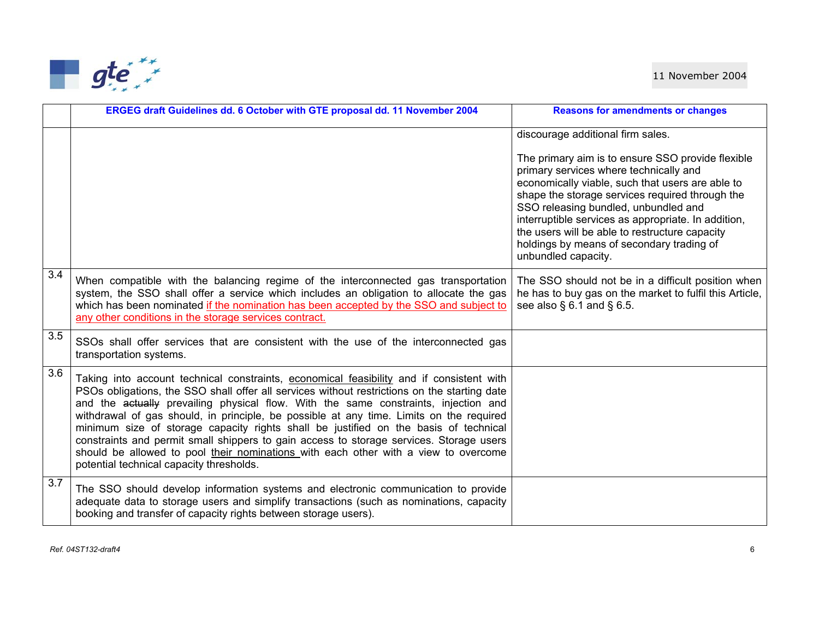

|                  | ERGEG draft Guidelines dd. 6 October with GTE proposal dd. 11 November 2004                                                                                                                                                                                                                                                                                                                                                                                                                                                                                                                                                                                                                      | <b>Reasons for amendments or changes</b>                                                                                                                                                                                                                                                                                                                                                                                |
|------------------|--------------------------------------------------------------------------------------------------------------------------------------------------------------------------------------------------------------------------------------------------------------------------------------------------------------------------------------------------------------------------------------------------------------------------------------------------------------------------------------------------------------------------------------------------------------------------------------------------------------------------------------------------------------------------------------------------|-------------------------------------------------------------------------------------------------------------------------------------------------------------------------------------------------------------------------------------------------------------------------------------------------------------------------------------------------------------------------------------------------------------------------|
|                  |                                                                                                                                                                                                                                                                                                                                                                                                                                                                                                                                                                                                                                                                                                  | discourage additional firm sales.                                                                                                                                                                                                                                                                                                                                                                                       |
|                  |                                                                                                                                                                                                                                                                                                                                                                                                                                                                                                                                                                                                                                                                                                  | The primary aim is to ensure SSO provide flexible<br>primary services where technically and<br>economically viable, such that users are able to<br>shape the storage services required through the<br>SSO releasing bundled, unbundled and<br>interruptible services as appropriate. In addition,<br>the users will be able to restructure capacity<br>holdings by means of secondary trading of<br>unbundled capacity. |
| $\overline{3.4}$ | When compatible with the balancing regime of the interconnected gas transportation<br>system, the SSO shall offer a service which includes an obligation to allocate the gas<br>which has been nominated if the nomination has been accepted by the SSO and subject to<br>any other conditions in the storage services contract.                                                                                                                                                                                                                                                                                                                                                                 | The SSO should not be in a difficult position when<br>he has to buy gas on the market to fulfil this Article,<br>see also $\S$ 6.1 and $\S$ 6.5.                                                                                                                                                                                                                                                                        |
| 3.5              | SSOs shall offer services that are consistent with the use of the interconnected gas<br>transportation systems.                                                                                                                                                                                                                                                                                                                                                                                                                                                                                                                                                                                  |                                                                                                                                                                                                                                                                                                                                                                                                                         |
| $\overline{3.6}$ | Taking into account technical constraints, economical feasibility and if consistent with<br>PSOs obligations, the SSO shall offer all services without restrictions on the starting date<br>and the actually prevailing physical flow. With the same constraints, injection and<br>withdrawal of gas should, in principle, be possible at any time. Limits on the required<br>minimum size of storage capacity rights shall be justified on the basis of technical<br>constraints and permit small shippers to gain access to storage services. Storage users<br>should be allowed to pool their nominations with each other with a view to overcome<br>potential technical capacity thresholds. |                                                                                                                                                                                                                                                                                                                                                                                                                         |
| $\overline{3.7}$ | The SSO should develop information systems and electronic communication to provide<br>adequate data to storage users and simplify transactions (such as nominations, capacity<br>booking and transfer of capacity rights between storage users).                                                                                                                                                                                                                                                                                                                                                                                                                                                 |                                                                                                                                                                                                                                                                                                                                                                                                                         |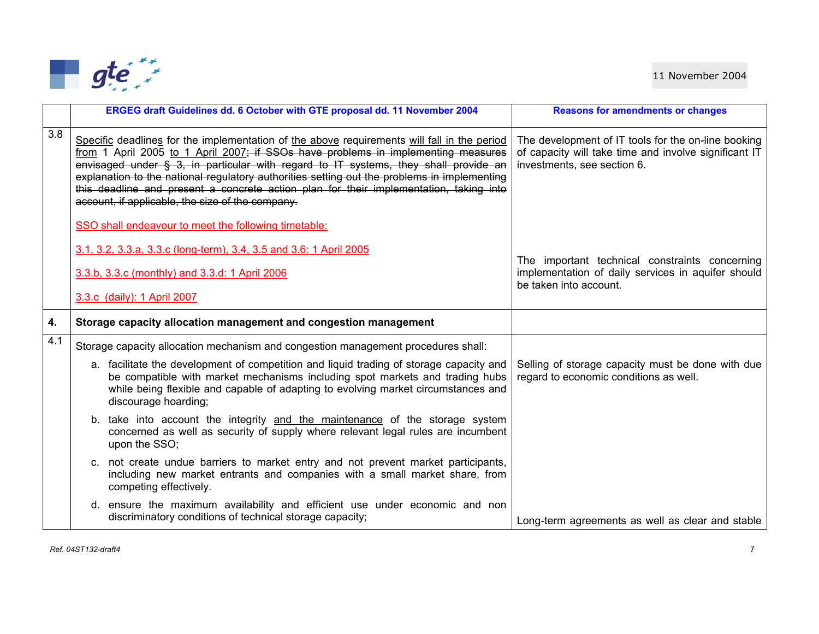

|                         | ERGEG draft Guidelines dd. 6 October with GTE proposal dd. 11 November 2004                                                                                                                                                                                                                                                                                                                                                                                                                                          | <b>Reasons for amendments or changes</b>                                                                                                    |
|-------------------------|----------------------------------------------------------------------------------------------------------------------------------------------------------------------------------------------------------------------------------------------------------------------------------------------------------------------------------------------------------------------------------------------------------------------------------------------------------------------------------------------------------------------|---------------------------------------------------------------------------------------------------------------------------------------------|
| 3.8                     | Specific deadlines for the implementation of the above requirements will fall in the period<br>from 1 April 2005 to 1 April 2007; if SSOs have problems in implementing measures<br>envisaged under § 3, in particular with regard to IT systems, they shall provide an<br>explanation to the national regulatory authorities setting out the problems in implementing<br>this deadline and present a concrete action plan for their implementation, taking into<br>account, if applicable, the size of the company. | The development of IT tools for the on-line booking<br>of capacity will take time and involve significant IT<br>investments, see section 6. |
|                         | SSO shall endeavour to meet the following timetable:                                                                                                                                                                                                                                                                                                                                                                                                                                                                 |                                                                                                                                             |
|                         | 3.1, 3.2, 3.3.a, 3.3.c (long-term), 3.4, 3.5 and 3.6: 1 April 2005                                                                                                                                                                                                                                                                                                                                                                                                                                                   | The important technical constraints concerning                                                                                              |
|                         | 3.3.b, 3.3.c (monthly) and 3.3.d: 1 April 2006                                                                                                                                                                                                                                                                                                                                                                                                                                                                       | implementation of daily services in aquifer should<br>be taken into account.                                                                |
|                         | 3.3.c (daily): 1 April 2007                                                                                                                                                                                                                                                                                                                                                                                                                                                                                          |                                                                                                                                             |
| $\overline{\mathbf{4}}$ | Storage capacity allocation management and congestion management                                                                                                                                                                                                                                                                                                                                                                                                                                                     |                                                                                                                                             |
| 4.1                     | Storage capacity allocation mechanism and congestion management procedures shall:                                                                                                                                                                                                                                                                                                                                                                                                                                    |                                                                                                                                             |
|                         | a. facilitate the development of competition and liquid trading of storage capacity and<br>be compatible with market mechanisms including spot markets and trading hubs<br>while being flexible and capable of adapting to evolving market circumstances and<br>discourage hoarding;                                                                                                                                                                                                                                 | Selling of storage capacity must be done with due<br>regard to economic conditions as well.                                                 |
|                         | b. take into account the integrity and the maintenance of the storage system<br>concerned as well as security of supply where relevant legal rules are incumbent<br>upon the SSO;                                                                                                                                                                                                                                                                                                                                    |                                                                                                                                             |
|                         | c. not create undue barriers to market entry and not prevent market participants,<br>including new market entrants and companies with a small market share, from<br>competing effectively.                                                                                                                                                                                                                                                                                                                           |                                                                                                                                             |
|                         | d. ensure the maximum availability and efficient use under economic and non<br>discriminatory conditions of technical storage capacity;                                                                                                                                                                                                                                                                                                                                                                              | Long-term agreements as well as clear and stable                                                                                            |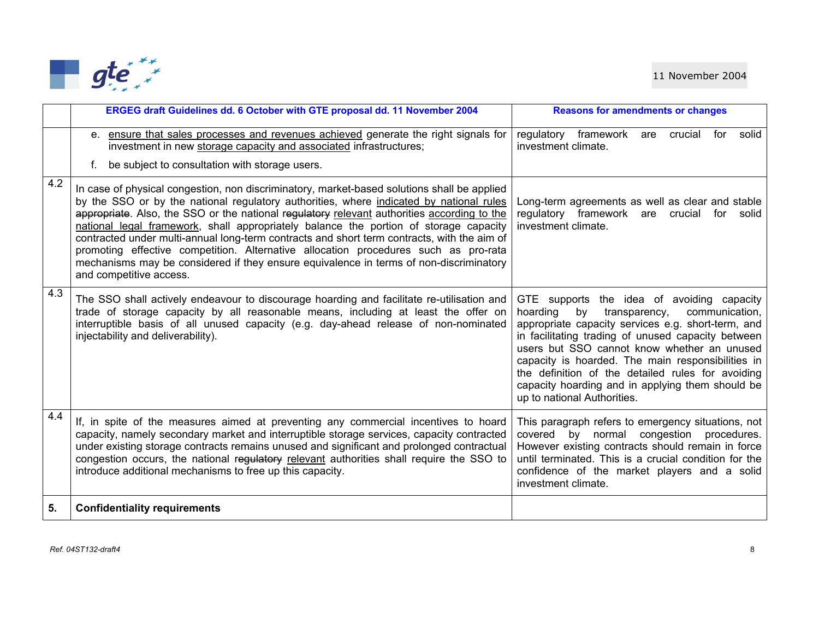

|     | ERGEG draft Guidelines dd. 6 October with GTE proposal dd. 11 November 2004                                                                                                                                                                                                                                                                                                                                                                                                                                                                                                                                                                                                               | <b>Reasons for amendments or changes</b>                                                                                                                                                                                                                                                                                                                                                                                                                |
|-----|-------------------------------------------------------------------------------------------------------------------------------------------------------------------------------------------------------------------------------------------------------------------------------------------------------------------------------------------------------------------------------------------------------------------------------------------------------------------------------------------------------------------------------------------------------------------------------------------------------------------------------------------------------------------------------------------|---------------------------------------------------------------------------------------------------------------------------------------------------------------------------------------------------------------------------------------------------------------------------------------------------------------------------------------------------------------------------------------------------------------------------------------------------------|
|     | e. ensure that sales processes and revenues achieved generate the right signals for<br>investment in new storage capacity and associated infrastructures;<br>be subject to consultation with storage users.<br>f.                                                                                                                                                                                                                                                                                                                                                                                                                                                                         | regulatory<br>framework<br>crucial<br>for<br>solid<br>are<br>investment climate.                                                                                                                                                                                                                                                                                                                                                                        |
| 4.2 | In case of physical congestion, non discriminatory, market-based solutions shall be applied<br>by the SSO or by the national regulatory authorities, where indicated by national rules<br>appropriate. Also, the SSO or the national regulatory relevant authorities according to the<br>national legal framework, shall appropriately balance the portion of storage capacity<br>contracted under multi-annual long-term contracts and short term contracts, with the aim of<br>promoting effective competition. Alternative allocation procedures such as pro-rata<br>mechanisms may be considered if they ensure equivalence in terms of non-discriminatory<br>and competitive access. | Long-term agreements as well as clear and stable<br>regulatory framework are crucial<br>for<br>solid<br>investment climate.                                                                                                                                                                                                                                                                                                                             |
| 4.3 | The SSO shall actively endeavour to discourage hoarding and facilitate re-utilisation and<br>trade of storage capacity by all reasonable means, including at least the offer on<br>interruptible basis of all unused capacity (e.g. day-ahead release of non-nominated<br>injectability and deliverability).                                                                                                                                                                                                                                                                                                                                                                              | GTE supports the idea of avoiding capacity<br>hoarding<br>by<br>transparency,<br>communication,<br>appropriate capacity services e.g. short-term, and<br>in facilitating trading of unused capacity between<br>users but SSO cannot know whether an unused<br>capacity is hoarded. The main responsibilities in<br>the definition of the detailed rules for avoiding<br>capacity hoarding and in applying them should be<br>up to national Authorities. |
| 4.4 | If, in spite of the measures aimed at preventing any commercial incentives to hoard<br>capacity, namely secondary market and interruptible storage services, capacity contracted<br>under existing storage contracts remains unused and significant and prolonged contractual<br>congestion occurs, the national regulatory relevant authorities shall require the SSO to<br>introduce additional mechanisms to free up this capacity.                                                                                                                                                                                                                                                    | This paragraph refers to emergency situations, not<br>congestion procedures.<br>covered by normal<br>However existing contracts should remain in force<br>until terminated. This is a crucial condition for the<br>confidence of the market players and a solid<br>investment climate.                                                                                                                                                                  |
| 5.  | <b>Confidentiality requirements</b>                                                                                                                                                                                                                                                                                                                                                                                                                                                                                                                                                                                                                                                       |                                                                                                                                                                                                                                                                                                                                                                                                                                                         |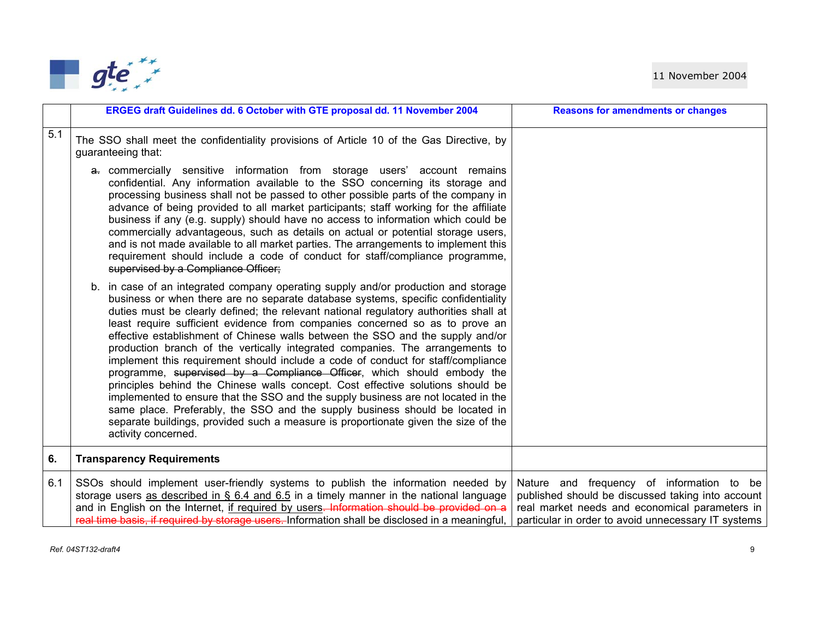

|     | ERGEG draft Guidelines dd. 6 October with GTE proposal dd. 11 November 2004                                                                                                                                                                                                                                                                                                                                                                                                                                                                                                                                                                                                                                                                                                                                                                                                                                                                                                                                                                            | <b>Reasons for amendments or changes</b>                                                                                                                                                                |
|-----|--------------------------------------------------------------------------------------------------------------------------------------------------------------------------------------------------------------------------------------------------------------------------------------------------------------------------------------------------------------------------------------------------------------------------------------------------------------------------------------------------------------------------------------------------------------------------------------------------------------------------------------------------------------------------------------------------------------------------------------------------------------------------------------------------------------------------------------------------------------------------------------------------------------------------------------------------------------------------------------------------------------------------------------------------------|---------------------------------------------------------------------------------------------------------------------------------------------------------------------------------------------------------|
| 5.1 | The SSO shall meet the confidentiality provisions of Article 10 of the Gas Directive, by<br>guaranteeing that:                                                                                                                                                                                                                                                                                                                                                                                                                                                                                                                                                                                                                                                                                                                                                                                                                                                                                                                                         |                                                                                                                                                                                                         |
|     | a. commercially sensitive information from storage users' account remains<br>confidential. Any information available to the SSO concerning its storage and<br>processing business shall not be passed to other possible parts of the company in<br>advance of being provided to all market participants; staff working for the affiliate<br>business if any (e.g. supply) should have no access to information which could be<br>commercially advantageous, such as details on actual or potential storage users,<br>and is not made available to all market parties. The arrangements to implement this<br>requirement should include a code of conduct for staff/compliance programme,<br>supervised by a Compliance Officer;                                                                                                                                                                                                                                                                                                                        |                                                                                                                                                                                                         |
|     | b. in case of an integrated company operating supply and/or production and storage<br>business or when there are no separate database systems, specific confidentiality<br>duties must be clearly defined; the relevant national regulatory authorities shall at<br>least require sufficient evidence from companies concerned so as to prove an<br>effective establishment of Chinese walls between the SSO and the supply and/or<br>production branch of the vertically integrated companies. The arrangements to<br>implement this requirement should include a code of conduct for staff/compliance<br>programme, supervised by a Compliance Officer, which should embody the<br>principles behind the Chinese walls concept. Cost effective solutions should be<br>implemented to ensure that the SSO and the supply business are not located in the<br>same place. Preferably, the SSO and the supply business should be located in<br>separate buildings, provided such a measure is proportionate given the size of the<br>activity concerned. |                                                                                                                                                                                                         |
| 6.  | <b>Transparency Requirements</b>                                                                                                                                                                                                                                                                                                                                                                                                                                                                                                                                                                                                                                                                                                                                                                                                                                                                                                                                                                                                                       |                                                                                                                                                                                                         |
| 6.1 | SSOs should implement user-friendly systems to publish the information needed by<br>storage users as described in § 6.4 and 6.5 in a timely manner in the national language<br>and in English on the Internet, if required by users. Information should be provided on a<br>real time basis, if required by storage users. Information shall be disclosed in a meaningful,                                                                                                                                                                                                                                                                                                                                                                                                                                                                                                                                                                                                                                                                             | Nature and frequency of information to be<br>published should be discussed taking into account<br>real market needs and economical parameters in<br>particular in order to avoid unnecessary IT systems |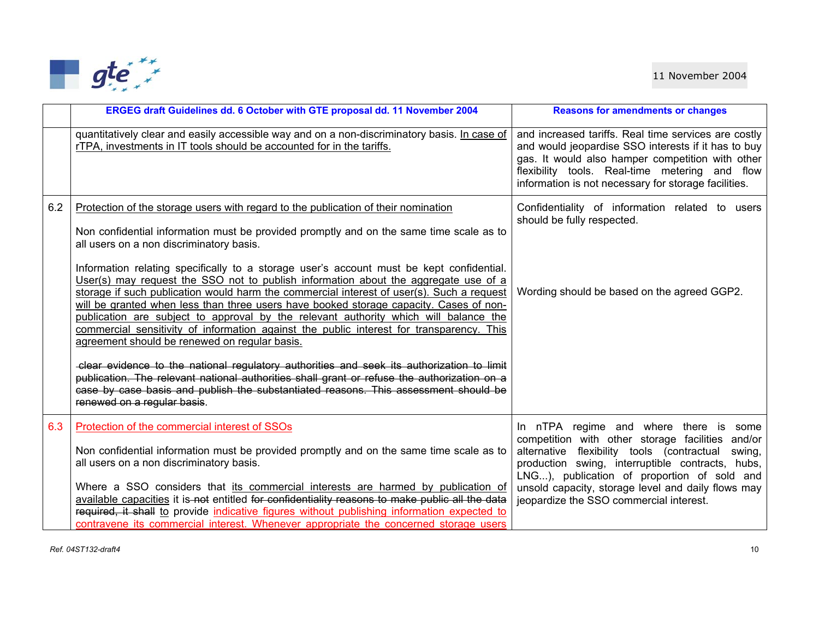

|     | ERGEG draft Guidelines dd. 6 October with GTE proposal dd. 11 November 2004                                                                                                                                                                                                                                                                                                                                                                                                                                                                                                                                 | <b>Reasons for amendments or changes</b>                                                                                                                                                                                                                                  |
|-----|-------------------------------------------------------------------------------------------------------------------------------------------------------------------------------------------------------------------------------------------------------------------------------------------------------------------------------------------------------------------------------------------------------------------------------------------------------------------------------------------------------------------------------------------------------------------------------------------------------------|---------------------------------------------------------------------------------------------------------------------------------------------------------------------------------------------------------------------------------------------------------------------------|
|     | quantitatively clear and easily accessible way and on a non-discriminatory basis. In case of<br>rTPA, investments in IT tools should be accounted for in the tariffs.                                                                                                                                                                                                                                                                                                                                                                                                                                       | and increased tariffs. Real time services are costly<br>and would jeopardise SSO interests if it has to buy<br>gas. It would also hamper competition with other<br>flexibility tools. Real-time metering and flow<br>information is not necessary for storage facilities. |
| 6.2 | Protection of the storage users with regard to the publication of their nomination<br>Non confidential information must be provided promptly and on the same time scale as to<br>all users on a non discriminatory basis.                                                                                                                                                                                                                                                                                                                                                                                   | Confidentiality of information related to<br>users<br>should be fully respected.                                                                                                                                                                                          |
|     | Information relating specifically to a storage user's account must be kept confidential.<br>User(s) may request the SSO not to publish information about the aggregate use of a<br>storage if such publication would harm the commercial interest of user(s). Such a request<br>will be granted when less than three users have booked storage capacity. Cases of non-<br>publication are subject to approval by the relevant authority which will balance the<br>commercial sensitivity of information against the public interest for transparency. This<br>agreement should be renewed on regular basis. | Wording should be based on the agreed GGP2.                                                                                                                                                                                                                               |
|     | clear evidence to the national regulatory authorities and seek its authorization to limit<br>publication. The relevant national authorities shall grant or refuse the authorization on a<br>case by case basis and publish the substantiated reasons. This assessment should be<br>renewed on a regular basis.                                                                                                                                                                                                                                                                                              |                                                                                                                                                                                                                                                                           |
| 6.3 | Protection of the commercial interest of SSOs                                                                                                                                                                                                                                                                                                                                                                                                                                                                                                                                                               | In nTPA regime and where there is some<br>competition with other storage facilities and/or                                                                                                                                                                                |
|     | Non confidential information must be provided promptly and on the same time scale as to<br>all users on a non discriminatory basis.                                                                                                                                                                                                                                                                                                                                                                                                                                                                         | alternative flexibility tools (contractual<br>swing,<br>production swing, interruptible contracts, hubs,<br>LNG), publication of proportion of sold and                                                                                                                   |
|     | Where a SSO considers that its commercial interests are harmed by publication of<br>available capacities it is-not entitled for confidentiality reasons to make public all the data<br>required, it shall to provide indicative figures without publishing information expected to                                                                                                                                                                                                                                                                                                                          | unsold capacity, storage level and daily flows may<br>jeopardize the SSO commercial interest.                                                                                                                                                                             |
|     | contravene its commercial interest. Whenever appropriate the concerned storage users                                                                                                                                                                                                                                                                                                                                                                                                                                                                                                                        |                                                                                                                                                                                                                                                                           |

*Ref. 04ST132-draft4* 10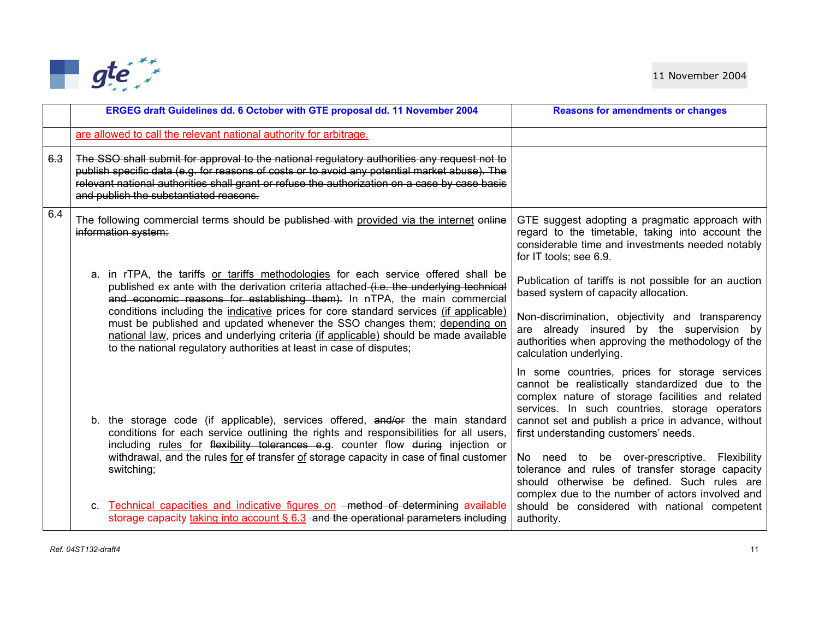

|     | ERGEG draft Guidelines dd. 6 October with GTE proposal dd. 11 November 2004                                                                                                                                                                                                                                                             | <b>Reasons for amendments or changes</b>                                                                                                                                                                                                                                                               |
|-----|-----------------------------------------------------------------------------------------------------------------------------------------------------------------------------------------------------------------------------------------------------------------------------------------------------------------------------------------|--------------------------------------------------------------------------------------------------------------------------------------------------------------------------------------------------------------------------------------------------------------------------------------------------------|
|     | are allowed to call the relevant national authority for arbitrage.                                                                                                                                                                                                                                                                      |                                                                                                                                                                                                                                                                                                        |
| 6.3 | The SSO shall submit for approval to the national regulatory authorities any request not to<br>publish specific data (e.g. for reasons of costs or to avoid any potential market abuse). The<br>relevant national authorities shall grant or refuse the authorization on a case by case basis<br>and publish the substantiated reasons. |                                                                                                                                                                                                                                                                                                        |
| 6.4 | The following commercial terms should be published with provided via the internet online<br>information system:                                                                                                                                                                                                                         | GTE suggest adopting a pragmatic approach with<br>regard to the timetable, taking into account the<br>considerable time and investments needed notably<br>for IT tools; see 6.9.                                                                                                                       |
|     | a. in rTPA, the tariffs or tariffs methodologies for each service offered shall be<br>published ex ante with the derivation criteria attached (i.e. the underlying technical<br>and economic reasons for establishing them). In nTPA, the main commercial                                                                               | Publication of tariffs is not possible for an auction<br>based system of capacity allocation.                                                                                                                                                                                                          |
|     | conditions including the indicative prices for core standard services (if applicable)<br>must be published and updated whenever the SSO changes them; depending on<br>national law, prices and underlying criteria (if applicable) should be made available<br>to the national regulatory authorities at least in case of disputes;     | Non-discrimination, objectivity and transparency<br>are already insured by the supervision by<br>authorities when approving the methodology of the<br>calculation underlying.                                                                                                                          |
|     | b. the storage code (if applicable), services offered, and/or the main standard<br>conditions for each service outlining the rights and responsibilities for all users,<br>including rules for flexibility tolerances e.g. counter flow during injection or                                                                             | In some countries, prices for storage services<br>cannot be realistically standardized due to the<br>complex nature of storage facilities and related<br>services. In such countries, storage operators<br>cannot set and publish a price in advance, without<br>first understanding customers' needs. |
|     | withdrawal, and the rules for of transfer of storage capacity in case of final customer<br>switching;                                                                                                                                                                                                                                   | No need to be over-prescriptive. Flexibility<br>tolerance and rules of transfer storage capacity<br>should otherwise be defined. Such rules are<br>complex due to the number of actors involved and                                                                                                    |
|     | c. Technical capacities and indicative figures on -method of determining available<br>storage capacity taking into account $\S 6.3$ -and the operational parameters including                                                                                                                                                           | should be considered with national competent<br>authority.                                                                                                                                                                                                                                             |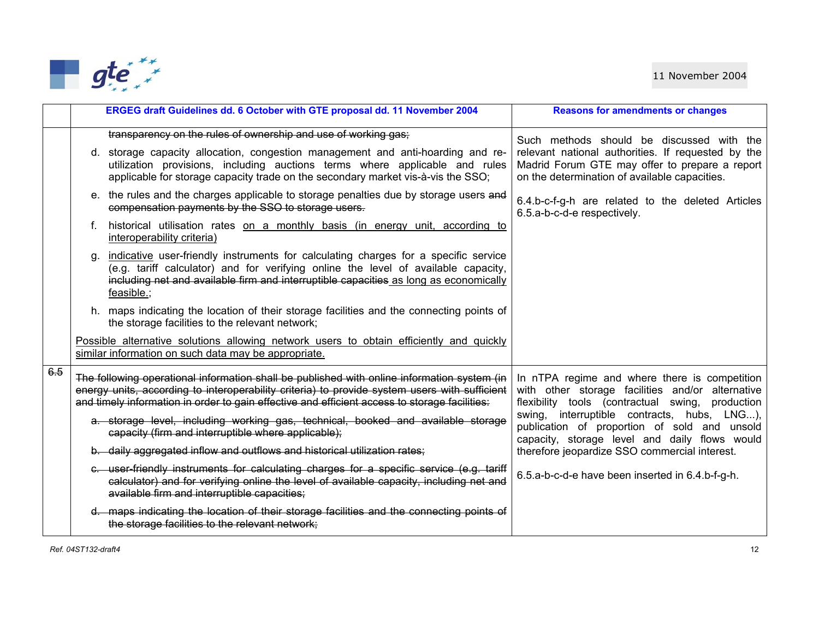

|     | ERGEG draft Guidelines dd. 6 October with GTE proposal dd. 11 November 2004                                                                                                                                                                                                                                          | <b>Reasons for amendments or changes</b>                                                                                                                                                           |
|-----|----------------------------------------------------------------------------------------------------------------------------------------------------------------------------------------------------------------------------------------------------------------------------------------------------------------------|----------------------------------------------------------------------------------------------------------------------------------------------------------------------------------------------------|
|     | transparency on the rules of ownership and use of working gas;<br>d. storage capacity allocation, congestion management and anti-hoarding and re-<br>utilization provisions, including auctions terms where applicable and rules<br>applicable for storage capacity trade on the secondary market vis-à-vis the SSO; | Such methods should be discussed with the<br>relevant national authorities. If requested by the<br>Madrid Forum GTE may offer to prepare a report<br>on the determination of available capacities. |
|     | e. the rules and the charges applicable to storage penalties due by storage users and<br>compensation payments by the SSO to storage users.                                                                                                                                                                          | 6.4.b-c-f-g-h are related to the deleted Articles<br>6.5.a-b-c-d-e respectively.                                                                                                                   |
|     | historical utilisation rates on a monthly basis (in energy unit, according to<br>interoperability criteria)                                                                                                                                                                                                          |                                                                                                                                                                                                    |
|     | indicative user-friendly instruments for calculating charges for a specific service<br>(e.g. tariff calculator) and for verifying online the level of available capacity,<br>including net and available firm and interruptible capacities as long as economically<br>feasible.;                                     |                                                                                                                                                                                                    |
|     | h. maps indicating the location of their storage facilities and the connecting points of<br>the storage facilities to the relevant network;                                                                                                                                                                          |                                                                                                                                                                                                    |
|     | Possible alternative solutions allowing network users to obtain efficiently and quickly<br>similar information on such data may be appropriate.                                                                                                                                                                      |                                                                                                                                                                                                    |
| 6.5 | The following operational information shall be published with online information system (in<br>energy units, according to interoperability criteria) to provide system users with sufficient<br>and timely information in order to gain effective and efficient access to storage facilities:                        | In nTPA regime and where there is competition<br>with other storage facilities and/or alternative<br>flexibility tools (contractual swing, production                                              |
|     | a. storage level, including working gas, technical, booked and available storage<br>capacity (firm and interruptible where applicable);                                                                                                                                                                              | swing, interruptible contracts, hubs, LNG),<br>publication of proportion of sold and unsold<br>capacity, storage level and daily flows would                                                       |
|     | b. daily aggregated inflow and outflows and historical utilization rates;                                                                                                                                                                                                                                            | therefore jeopardize SSO commercial interest.                                                                                                                                                      |
|     | e. user friendly instruments for calculating charges for a specific service (e.g. tariff<br>calculator) and for verifying online the level of available capacity, including net and<br>available firm and interruptible capacities;                                                                                  | 6.5.a-b-c-d-e have been inserted in 6.4.b-f-g-h.                                                                                                                                                   |
|     | d. maps indicating the location of their storage facilities and the connecting points of<br>the storage facilities to the relevant network;                                                                                                                                                                          |                                                                                                                                                                                                    |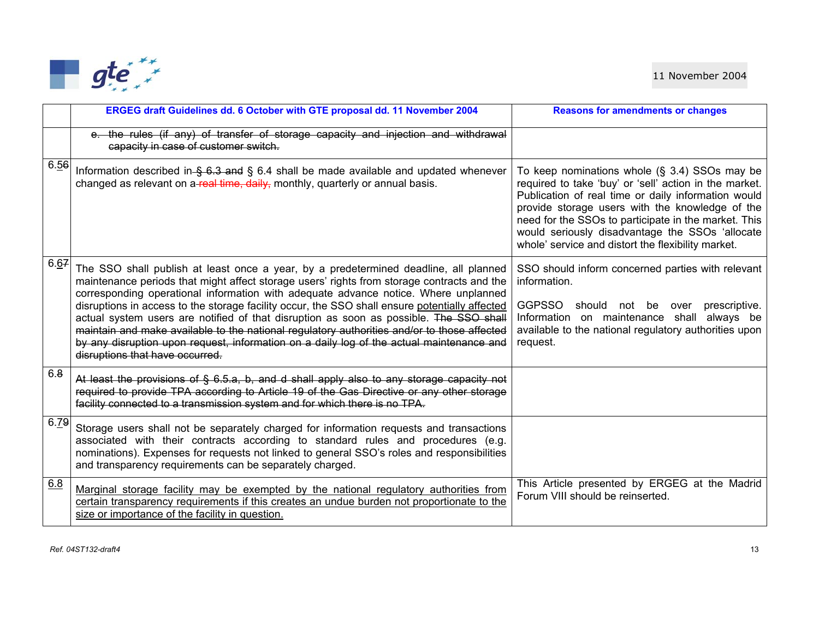

|      | ERGEG draft Guidelines dd. 6 October with GTE proposal dd. 11 November 2004                                                                                                                                                                                                                                                                                                                                                                                                                                                                                                                                                                                                                         | <b>Reasons for amendments or changes</b>                                                                                                                                                                                                                                                                                                                                              |
|------|-----------------------------------------------------------------------------------------------------------------------------------------------------------------------------------------------------------------------------------------------------------------------------------------------------------------------------------------------------------------------------------------------------------------------------------------------------------------------------------------------------------------------------------------------------------------------------------------------------------------------------------------------------------------------------------------------------|---------------------------------------------------------------------------------------------------------------------------------------------------------------------------------------------------------------------------------------------------------------------------------------------------------------------------------------------------------------------------------------|
|      | e. the rules (if any) of transfer of storage capacity and injection and withdrawal<br>capacity in case of customer switch.                                                                                                                                                                                                                                                                                                                                                                                                                                                                                                                                                                          |                                                                                                                                                                                                                                                                                                                                                                                       |
| 6.56 | Information described in $\frac{6.3}{6.3}$ and § 6.4 shall be made available and updated whenever<br>changed as relevant on a-real time, daily, monthly, quarterly or annual basis.                                                                                                                                                                                                                                                                                                                                                                                                                                                                                                                 | To keep nominations whole $(S, 3.4)$ SSOs may be<br>required to take 'buy' or 'sell' action in the market.<br>Publication of real time or daily information would<br>provide storage users with the knowledge of the<br>need for the SSOs to participate in the market. This<br>would seriously disadvantage the SSOs 'allocate<br>whole' service and distort the flexibility market. |
| 6.67 | The SSO shall publish at least once a year, by a predetermined deadline, all planned<br>maintenance periods that might affect storage users' rights from storage contracts and the<br>corresponding operational information with adequate advance notice. Where unplanned<br>disruptions in access to the storage facility occur, the SSO shall ensure potentially affected<br>actual system users are notified of that disruption as soon as possible. The SSO shall<br>maintain and make available to the national regulatory authorities and/or to those affected<br>by any disruption upon request, information on a daily log of the actual maintenance and<br>disruptions that have occurred. | SSO should inform concerned parties with relevant<br>information.<br>GGPSSO should not be<br>prescriptive.<br>over<br>Information on maintenance shall always be<br>available to the national regulatory authorities upon<br>request.                                                                                                                                                 |
| 6.8  | At least the provisions of § 6.5.a, b, and d shall apply also to any storage capacity not<br>required to provide TPA according to Article 19 of the Gas Directive or any other storage<br>facility connected to a transmission system and for which there is no TPA.                                                                                                                                                                                                                                                                                                                                                                                                                                |                                                                                                                                                                                                                                                                                                                                                                                       |
| 6.79 | Storage users shall not be separately charged for information requests and transactions<br>associated with their contracts according to standard rules and procedures (e.g.<br>nominations). Expenses for requests not linked to general SSO's roles and responsibilities<br>and transparency requirements can be separately charged.                                                                                                                                                                                                                                                                                                                                                               |                                                                                                                                                                                                                                                                                                                                                                                       |
| 6.8  | Marginal storage facility may be exempted by the national regulatory authorities from<br>certain transparency requirements if this creates an undue burden not proportionate to the<br>size or importance of the facility in question.                                                                                                                                                                                                                                                                                                                                                                                                                                                              | This Article presented by ERGEG at the Madrid<br>Forum VIII should be reinserted.                                                                                                                                                                                                                                                                                                     |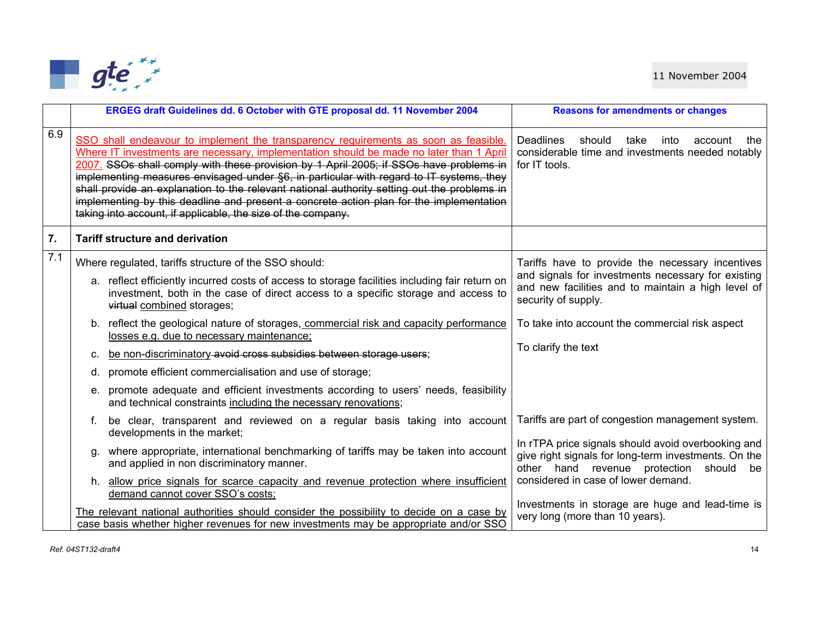

|     | ERGEG draft Guidelines dd. 6 October with GTE proposal dd. 11 November 2004                                                                                                                                                                                                                                                                                                                                                                                                                                                                                                                                                   | <b>Reasons for amendments or changes</b>                                                                                                                                            |
|-----|-------------------------------------------------------------------------------------------------------------------------------------------------------------------------------------------------------------------------------------------------------------------------------------------------------------------------------------------------------------------------------------------------------------------------------------------------------------------------------------------------------------------------------------------------------------------------------------------------------------------------------|-------------------------------------------------------------------------------------------------------------------------------------------------------------------------------------|
| 6.9 | SSO shall endeavour to implement the transparency requirements as soon as feasible.<br>Where IT investments are necessary, implementation should be made no later than 1 April<br>2007. SSOs shall comply with these provision by 1 April 2005; if SSOs have problems in<br>implementing measures envisaged under §6, in particular with regard to IT systems, they<br>shall provide an explanation to the relevant national authority setting out the problems in<br>implementing by this deadline and present a concrete action plan for the implementation<br>taking into account, if applicable, the size of the company. | <b>Deadlines</b><br>should<br>take<br>into<br>account<br>the<br>considerable time and investments needed notably<br>for IT tools.                                                   |
| 7.  | <b>Tariff structure and derivation</b>                                                                                                                                                                                                                                                                                                                                                                                                                                                                                                                                                                                        |                                                                                                                                                                                     |
| 7.1 | Where regulated, tariffs structure of the SSO should:<br>a. reflect efficiently incurred costs of access to storage facilities including fair return on<br>investment, both in the case of direct access to a specific storage and access to<br>virtual combined storages;                                                                                                                                                                                                                                                                                                                                                    | Tariffs have to provide the necessary incentives<br>and signals for investments necessary for existing<br>and new facilities and to maintain a high level of<br>security of supply. |
|     | b. reflect the geological nature of storages, commercial risk and capacity performance<br>losses e.g. due to necessary maintenance;<br>be non-discriminatory avoid cross subsidies between storage users;<br>C.                                                                                                                                                                                                                                                                                                                                                                                                               | To take into account the commercial risk aspect<br>To clarify the text                                                                                                              |
|     | d. promote efficient commercialisation and use of storage;                                                                                                                                                                                                                                                                                                                                                                                                                                                                                                                                                                    |                                                                                                                                                                                     |
|     | e. promote adequate and efficient investments according to users' needs, feasibility<br>and technical constraints including the necessary renovations;                                                                                                                                                                                                                                                                                                                                                                                                                                                                        |                                                                                                                                                                                     |
|     | be clear, transparent and reviewed on a regular basis taking into account<br>developments in the market;                                                                                                                                                                                                                                                                                                                                                                                                                                                                                                                      | Tariffs are part of congestion management system.                                                                                                                                   |
|     | where appropriate, international benchmarking of tariffs may be taken into account<br>α.<br>and applied in non discriminatory manner.                                                                                                                                                                                                                                                                                                                                                                                                                                                                                         | In rTPA price signals should avoid overbooking and<br>give right signals for long-term investments. On the<br>other hand revenue protection<br>should<br>be                         |
|     | h. allow price signals for scarce capacity and revenue protection where insufficient<br>demand cannot cover SSO's costs;                                                                                                                                                                                                                                                                                                                                                                                                                                                                                                      | considered in case of lower demand.                                                                                                                                                 |
|     | The relevant national authorities should consider the possibility to decide on a case by<br>case basis whether higher revenues for new investments may be appropriate and/or SSO                                                                                                                                                                                                                                                                                                                                                                                                                                              | Investments in storage are huge and lead-time is<br>very long (more than 10 years).                                                                                                 |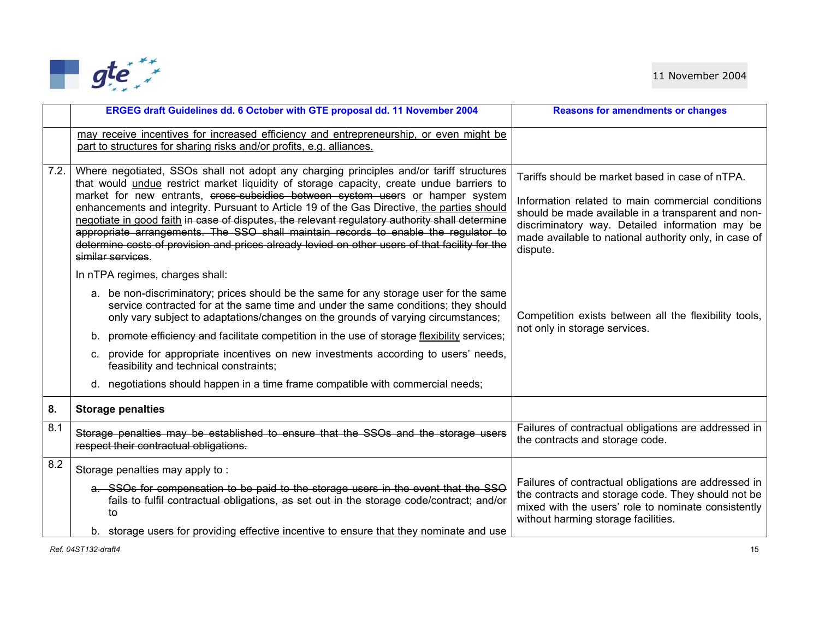

|      | ERGEG draft Guidelines dd. 6 October with GTE proposal dd. 11 November 2004                                                                                                                                                                                                                                                                                                                                                                                                                                                                                                                                                                                                                                                                                                                                                                                                                                                                                                                                                                                                                                                                                                                                                                                                                                     | <b>Reasons for amendments or changes</b>                                                                                                                                                                                                                                                                                                                                     |
|------|-----------------------------------------------------------------------------------------------------------------------------------------------------------------------------------------------------------------------------------------------------------------------------------------------------------------------------------------------------------------------------------------------------------------------------------------------------------------------------------------------------------------------------------------------------------------------------------------------------------------------------------------------------------------------------------------------------------------------------------------------------------------------------------------------------------------------------------------------------------------------------------------------------------------------------------------------------------------------------------------------------------------------------------------------------------------------------------------------------------------------------------------------------------------------------------------------------------------------------------------------------------------------------------------------------------------|------------------------------------------------------------------------------------------------------------------------------------------------------------------------------------------------------------------------------------------------------------------------------------------------------------------------------------------------------------------------------|
|      | may receive incentives for increased efficiency and entrepreneurship, or even might be<br>part to structures for sharing risks and/or profits, e.g. alliances.                                                                                                                                                                                                                                                                                                                                                                                                                                                                                                                                                                                                                                                                                                                                                                                                                                                                                                                                                                                                                                                                                                                                                  |                                                                                                                                                                                                                                                                                                                                                                              |
| 7.2. | Where negotiated, SSOs shall not adopt any charging principles and/or tariff structures<br>that would undue restrict market liquidity of storage capacity, create undue barriers to<br>market for new entrants, cross-subsidies between system users or hamper system<br>enhancements and integrity. Pursuant to Article 19 of the Gas Directive, the parties should<br>negotiate in good faith in case of disputes, the relevant regulatory authority shall determine<br>appropriate arrangements. The SSO shall maintain records to enable the regulator to<br>determine costs of provision and prices already levied on other users of that facility for the<br>similar services.<br>In nTPA regimes, charges shall:<br>a. be non-discriminatory; prices should be the same for any storage user for the same<br>service contracted for at the same time and under the same conditions; they should<br>only vary subject to adaptations/changes on the grounds of varying circumstances;<br>b. promote efficiency and facilitate competition in the use of storage flexibility services;<br>c. provide for appropriate incentives on new investments according to users' needs,<br>feasibility and technical constraints;<br>d. negotiations should happen in a time frame compatible with commercial needs; | Tariffs should be market based in case of nTPA.<br>Information related to main commercial conditions<br>should be made available in a transparent and non-<br>discriminatory way. Detailed information may be<br>made available to national authority only, in case of<br>dispute.<br>Competition exists between all the flexibility tools,<br>not only in storage services. |
| 8.   | <b>Storage penalties</b>                                                                                                                                                                                                                                                                                                                                                                                                                                                                                                                                                                                                                                                                                                                                                                                                                                                                                                                                                                                                                                                                                                                                                                                                                                                                                        |                                                                                                                                                                                                                                                                                                                                                                              |
| 8.1  | Storage penalties may be established to ensure that the SSOs and the storage users<br>respect their contractual obligations.                                                                                                                                                                                                                                                                                                                                                                                                                                                                                                                                                                                                                                                                                                                                                                                                                                                                                                                                                                                                                                                                                                                                                                                    | Failures of contractual obligations are addressed in<br>the contracts and storage code.                                                                                                                                                                                                                                                                                      |
| 8.2  | Storage penalties may apply to:<br>a. SSOs for compensation to be paid to the storage users in the event that the SSO<br>fails to fulfil contractual obligations, as set out in the storage code/contract; and/or<br>to<br>b. storage users for providing effective incentive to ensure that they nominate and use                                                                                                                                                                                                                                                                                                                                                                                                                                                                                                                                                                                                                                                                                                                                                                                                                                                                                                                                                                                              | Failures of contractual obligations are addressed in<br>the contracts and storage code. They should not be<br>mixed with the users' role to nominate consistently<br>without harming storage facilities.                                                                                                                                                                     |

*Ref. 04ST132-draft4* 15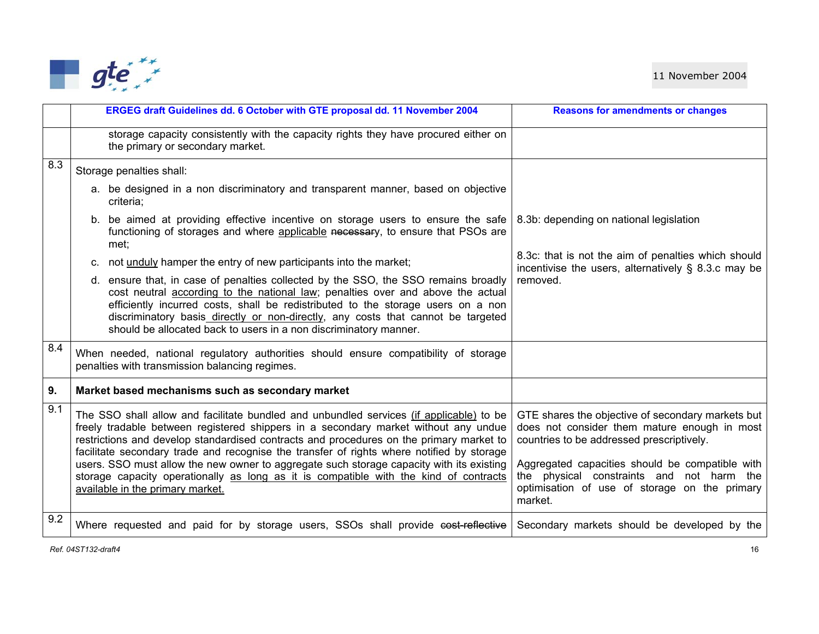

|     | ERGEG draft Guidelines dd. 6 October with GTE proposal dd. 11 November 2004                                                                                                                                                                                                                                                                                                                                                                                                                                                                                                                     | <b>Reasons for amendments or changes</b>                                                                                                                                                                                                                                                                   |
|-----|-------------------------------------------------------------------------------------------------------------------------------------------------------------------------------------------------------------------------------------------------------------------------------------------------------------------------------------------------------------------------------------------------------------------------------------------------------------------------------------------------------------------------------------------------------------------------------------------------|------------------------------------------------------------------------------------------------------------------------------------------------------------------------------------------------------------------------------------------------------------------------------------------------------------|
|     | storage capacity consistently with the capacity rights they have procured either on<br>the primary or secondary market.                                                                                                                                                                                                                                                                                                                                                                                                                                                                         |                                                                                                                                                                                                                                                                                                            |
| 8.3 | Storage penalties shall:<br>a. be designed in a non discriminatory and transparent manner, based on objective<br>criteria;<br>b. be aimed at providing effective incentive on storage users to ensure the safe<br>functioning of storages and where applicable necessary, to ensure that PSOs are<br>met;<br>not unduly hamper the entry of new participants into the market;<br>$C_{1}$                                                                                                                                                                                                        | 8.3b: depending on national legislation<br>8.3c: that is not the aim of penalties which should                                                                                                                                                                                                             |
|     | d. ensure that, in case of penalties collected by the SSO, the SSO remains broadly<br>cost neutral according to the national law; penalties over and above the actual<br>efficiently incurred costs, shall be redistributed to the storage users on a non<br>discriminatory basis_directly_or_non-directly, any costs that cannot be targeted<br>should be allocated back to users in a non discriminatory manner.                                                                                                                                                                              | incentivise the users, alternatively $\S$ 8.3.c may be<br>removed.                                                                                                                                                                                                                                         |
| 8.4 | When needed, national regulatory authorities should ensure compatibility of storage<br>penalties with transmission balancing regimes.                                                                                                                                                                                                                                                                                                                                                                                                                                                           |                                                                                                                                                                                                                                                                                                            |
| 9.  | Market based mechanisms such as secondary market                                                                                                                                                                                                                                                                                                                                                                                                                                                                                                                                                |                                                                                                                                                                                                                                                                                                            |
| 9.1 | The SSO shall allow and facilitate bundled and unbundled services (if applicable) to be<br>freely tradable between registered shippers in a secondary market without any undue<br>restrictions and develop standardised contracts and procedures on the primary market to<br>facilitate secondary trade and recognise the transfer of rights where notified by storage<br>users. SSO must allow the new owner to aggregate such storage capacity with its existing<br>storage capacity operationally as long as it is compatible with the kind of contracts<br>available in the primary market. | GTE shares the objective of secondary markets but<br>does not consider them mature enough in most<br>countries to be addressed prescriptively.<br>Aggregated capacities should be compatible with<br>the physical constraints and not harm the<br>optimisation of use of storage on the primary<br>market. |
| 9.2 | Where requested and paid for by storage users, SSOs shall provide cost reflective                                                                                                                                                                                                                                                                                                                                                                                                                                                                                                               | Secondary markets should be developed by the                                                                                                                                                                                                                                                               |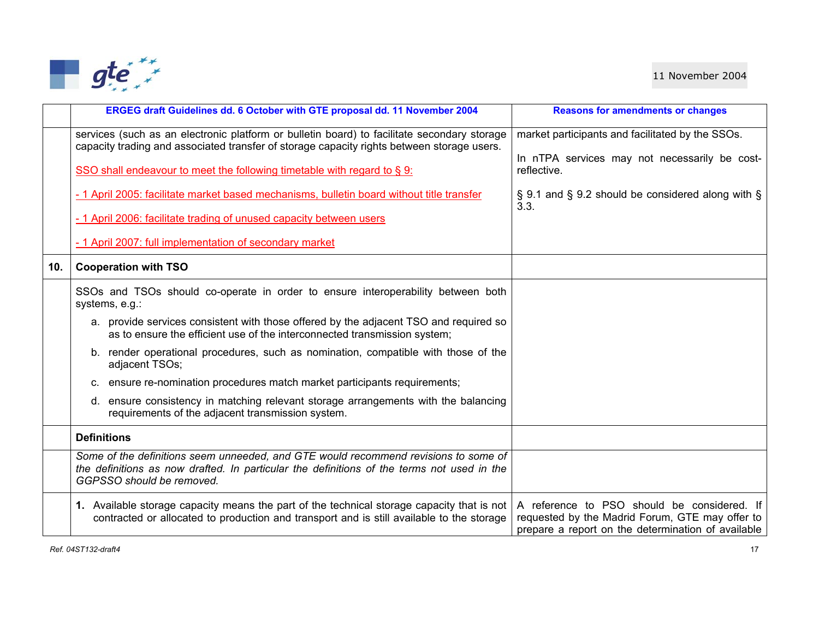

|     | ERGEG draft Guidelines dd. 6 October with GTE proposal dd. 11 November 2004                                                                                                                                    | <b>Reasons for amendments or changes</b>                                                                                                             |
|-----|----------------------------------------------------------------------------------------------------------------------------------------------------------------------------------------------------------------|------------------------------------------------------------------------------------------------------------------------------------------------------|
|     | services (such as an electronic platform or bulletin board) to facilitate secondary storage<br>capacity trading and associated transfer of storage capacity rights between storage users.                      | market participants and facilitated by the SSOs.<br>In nTPA services may not necessarily be cost-                                                    |
|     | SSO shall endeavour to meet the following timetable with regard to §9:                                                                                                                                         | reflective.                                                                                                                                          |
|     | - 1 April 2005: facilitate market based mechanisms, bulletin board without title transfer                                                                                                                      | § 9.1 and § 9.2 should be considered along with §<br>3.3.                                                                                            |
|     | - 1 April 2006: facilitate trading of unused capacity between users                                                                                                                                            |                                                                                                                                                      |
|     | - 1 April 2007: full implementation of secondary market                                                                                                                                                        |                                                                                                                                                      |
| 10. | <b>Cooperation with TSO</b>                                                                                                                                                                                    |                                                                                                                                                      |
|     | SSOs and TSOs should co-operate in order to ensure interoperability between both<br>systems, e.g.:                                                                                                             |                                                                                                                                                      |
|     | a. provide services consistent with those offered by the adjacent TSO and required so<br>as to ensure the efficient use of the interconnected transmission system;                                             |                                                                                                                                                      |
|     | b. render operational procedures, such as nomination, compatible with those of the<br>adjacent TSOs;                                                                                                           |                                                                                                                                                      |
|     | c. ensure re-nomination procedures match market participants requirements;                                                                                                                                     |                                                                                                                                                      |
|     | d. ensure consistency in matching relevant storage arrangements with the balancing<br>requirements of the adjacent transmission system.                                                                        |                                                                                                                                                      |
|     | <b>Definitions</b>                                                                                                                                                                                             |                                                                                                                                                      |
|     | Some of the definitions seem unneeded, and GTE would recommend revisions to some of<br>the definitions as now drafted. In particular the definitions of the terms not used in the<br>GGPSSO should be removed. |                                                                                                                                                      |
|     | 1. Available storage capacity means the part of the technical storage capacity that is not<br>contracted or allocated to production and transport and is still available to the storage                        | A reference to PSO should be considered. If<br>requested by the Madrid Forum, GTE may offer to<br>prepare a report on the determination of available |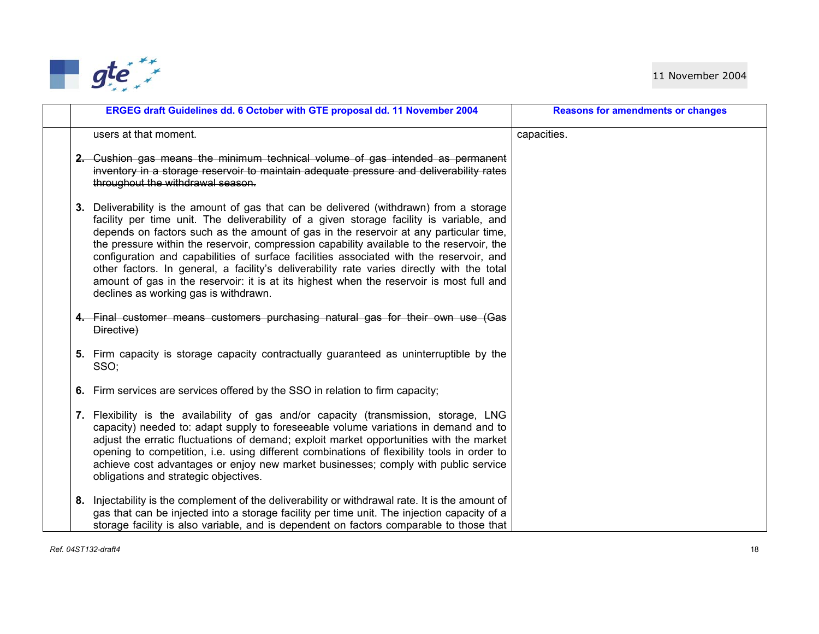

|    | ERGEG draft Guidelines dd. 6 October with GTE proposal dd. 11 November 2004                                                                                                                                                                                                                                                                                                                                                                                                                                                                                                                                                                                                                            | <b>Reasons for amendments or changes</b> |
|----|--------------------------------------------------------------------------------------------------------------------------------------------------------------------------------------------------------------------------------------------------------------------------------------------------------------------------------------------------------------------------------------------------------------------------------------------------------------------------------------------------------------------------------------------------------------------------------------------------------------------------------------------------------------------------------------------------------|------------------------------------------|
|    | users at that moment.                                                                                                                                                                                                                                                                                                                                                                                                                                                                                                                                                                                                                                                                                  | capacities.                              |
|    | 2. Cushion gas means the minimum technical volume of gas intended as permanent<br>inventory in a storage reservoir to maintain adequate pressure and deliverability rates<br>throughout the withdrawal season.                                                                                                                                                                                                                                                                                                                                                                                                                                                                                         |                                          |
|    | 3. Deliverability is the amount of gas that can be delivered (withdrawn) from a storage<br>facility per time unit. The deliverability of a given storage facility is variable, and<br>depends on factors such as the amount of gas in the reservoir at any particular time,<br>the pressure within the reservoir, compression capability available to the reservoir, the<br>configuration and capabilities of surface facilities associated with the reservoir, and<br>other factors. In general, a facility's deliverability rate varies directly with the total<br>amount of gas in the reservoir: it is at its highest when the reservoir is most full and<br>declines as working gas is withdrawn. |                                          |
|    | 4. Final customer means customers purchasing natural gas for their own use (Gas<br>Directive)                                                                                                                                                                                                                                                                                                                                                                                                                                                                                                                                                                                                          |                                          |
|    | 5. Firm capacity is storage capacity contractually guaranteed as uninterruptible by the<br>SSO;                                                                                                                                                                                                                                                                                                                                                                                                                                                                                                                                                                                                        |                                          |
|    | 6. Firm services are services offered by the SSO in relation to firm capacity;                                                                                                                                                                                                                                                                                                                                                                                                                                                                                                                                                                                                                         |                                          |
|    | 7. Flexibility is the availability of gas and/or capacity (transmission, storage, LNG<br>capacity) needed to: adapt supply to foreseeable volume variations in demand and to<br>adjust the erratic fluctuations of demand; exploit market opportunities with the market<br>opening to competition, i.e. using different combinations of flexibility tools in order to<br>achieve cost advantages or enjoy new market businesses; comply with public service<br>obligations and strategic objectives.                                                                                                                                                                                                   |                                          |
| 8. | Injectability is the complement of the deliverability or withdrawal rate. It is the amount of<br>gas that can be injected into a storage facility per time unit. The injection capacity of a<br>storage facility is also variable, and is dependent on factors comparable to those that                                                                                                                                                                                                                                                                                                                                                                                                                |                                          |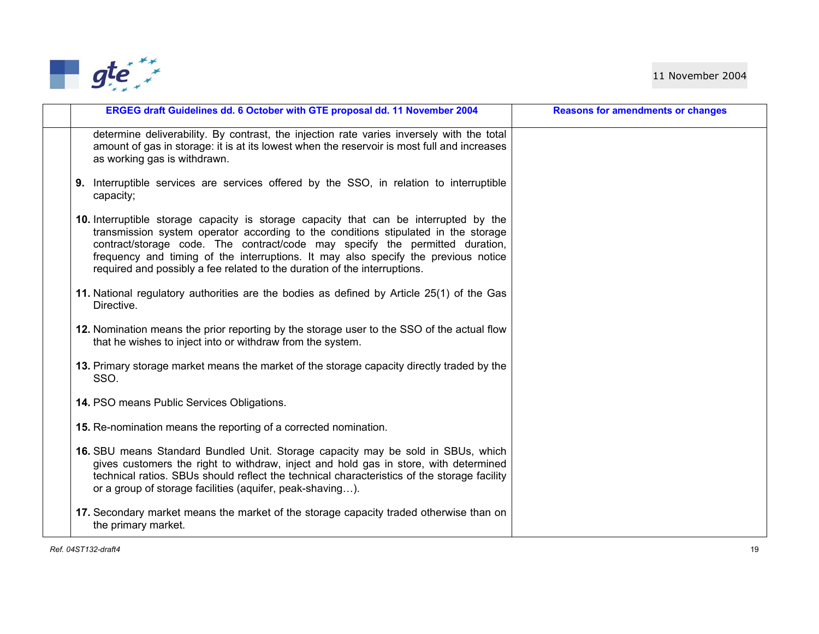

| ERGEG draft Guidelines dd. 6 October with GTE proposal dd. 11 November 2004                                                                                                                                                                                                                                                                                                                                                    | <b>Reasons for amendments or changes</b> |
|--------------------------------------------------------------------------------------------------------------------------------------------------------------------------------------------------------------------------------------------------------------------------------------------------------------------------------------------------------------------------------------------------------------------------------|------------------------------------------|
| determine deliverability. By contrast, the injection rate varies inversely with the total<br>amount of gas in storage: it is at its lowest when the reservoir is most full and increases<br>as working gas is withdrawn.                                                                                                                                                                                                       |                                          |
| <b>9.</b> Interruptible services are services offered by the SSO, in relation to interruptible<br>capacity;                                                                                                                                                                                                                                                                                                                    |                                          |
| 10. Interruptible storage capacity is storage capacity that can be interrupted by the<br>transmission system operator according to the conditions stipulated in the storage<br>contract/storage code. The contract/code may specify the permitted duration,<br>frequency and timing of the interruptions. It may also specify the previous notice<br>required and possibly a fee related to the duration of the interruptions. |                                          |
| 11. National regulatory authorities are the bodies as defined by Article 25(1) of the Gas<br>Directive.                                                                                                                                                                                                                                                                                                                        |                                          |
| 12. Nomination means the prior reporting by the storage user to the SSO of the actual flow<br>that he wishes to inject into or withdraw from the system.                                                                                                                                                                                                                                                                       |                                          |
| 13. Primary storage market means the market of the storage capacity directly traded by the<br>SSO.                                                                                                                                                                                                                                                                                                                             |                                          |
| 14. PSO means Public Services Obligations.                                                                                                                                                                                                                                                                                                                                                                                     |                                          |
| 15. Re-nomination means the reporting of a corrected nomination.                                                                                                                                                                                                                                                                                                                                                               |                                          |
| 16. SBU means Standard Bundled Unit. Storage capacity may be sold in SBUs, which<br>gives customers the right to withdraw, inject and hold gas in store, with determined<br>technical ratios. SBUs should reflect the technical characteristics of the storage facility<br>or a group of storage facilities (aquifer, peak-shaving).                                                                                           |                                          |
| 17. Secondary market means the market of the storage capacity traded otherwise than on<br>the primary market.                                                                                                                                                                                                                                                                                                                  |                                          |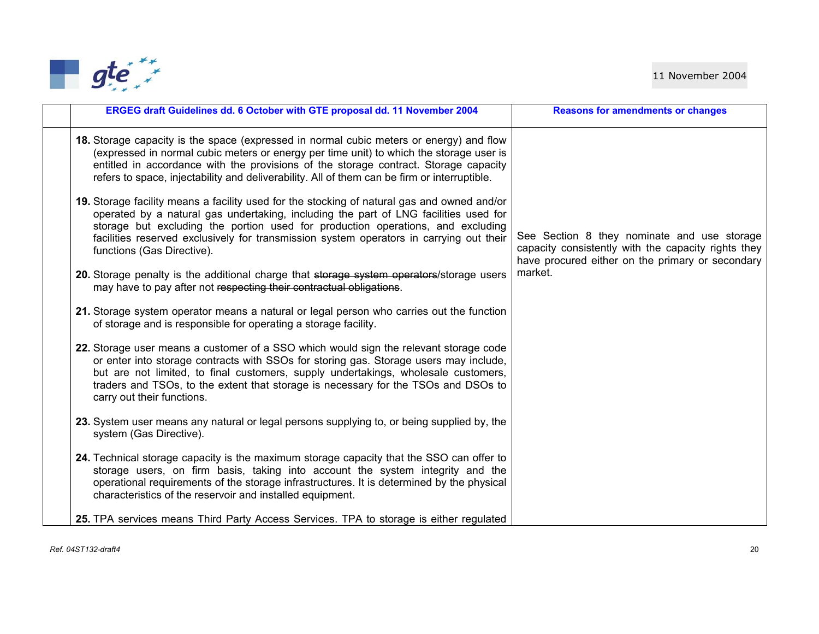

| ERGEG draft Guidelines dd. 6 October with GTE proposal dd. 11 November 2004                                                                                                                                                                                                                                                                                                                     | <b>Reasons for amendments or changes</b>                                                                                                               |
|-------------------------------------------------------------------------------------------------------------------------------------------------------------------------------------------------------------------------------------------------------------------------------------------------------------------------------------------------------------------------------------------------|--------------------------------------------------------------------------------------------------------------------------------------------------------|
| 18. Storage capacity is the space (expressed in normal cubic meters or energy) and flow<br>(expressed in normal cubic meters or energy per time unit) to which the storage user is<br>entitled in accordance with the provisions of the storage contract. Storage capacity<br>refers to space, injectability and deliverability. All of them can be firm or interruptible.                      |                                                                                                                                                        |
| 19. Storage facility means a facility used for the stocking of natural gas and owned and/or<br>operated by a natural gas undertaking, including the part of LNG facilities used for<br>storage but excluding the portion used for production operations, and excluding<br>facilities reserved exclusively for transmission system operators in carrying out their<br>functions (Gas Directive). | See Section 8 they nominate and use storage<br>capacity consistently with the capacity rights they<br>have procured either on the primary or secondary |
| 20. Storage penalty is the additional charge that storage system operators/storage users<br>may have to pay after not respecting their contractual obligations.                                                                                                                                                                                                                                 | market.                                                                                                                                                |
| 21. Storage system operator means a natural or legal person who carries out the function<br>of storage and is responsible for operating a storage facility.                                                                                                                                                                                                                                     |                                                                                                                                                        |
| 22. Storage user means a customer of a SSO which would sign the relevant storage code<br>or enter into storage contracts with SSOs for storing gas. Storage users may include,<br>but are not limited, to final customers, supply undertakings, wholesale customers,<br>traders and TSOs, to the extent that storage is necessary for the TSOs and DSOs to<br>carry out their functions.        |                                                                                                                                                        |
| 23. System user means any natural or legal persons supplying to, or being supplied by, the<br>system (Gas Directive).                                                                                                                                                                                                                                                                           |                                                                                                                                                        |
| 24. Technical storage capacity is the maximum storage capacity that the SSO can offer to<br>storage users, on firm basis, taking into account the system integrity and the<br>operational requirements of the storage infrastructures. It is determined by the physical<br>characteristics of the reservoir and installed equipment.                                                            |                                                                                                                                                        |
| 25. TPA services means Third Party Access Services. TPA to storage is either regulated                                                                                                                                                                                                                                                                                                          |                                                                                                                                                        |